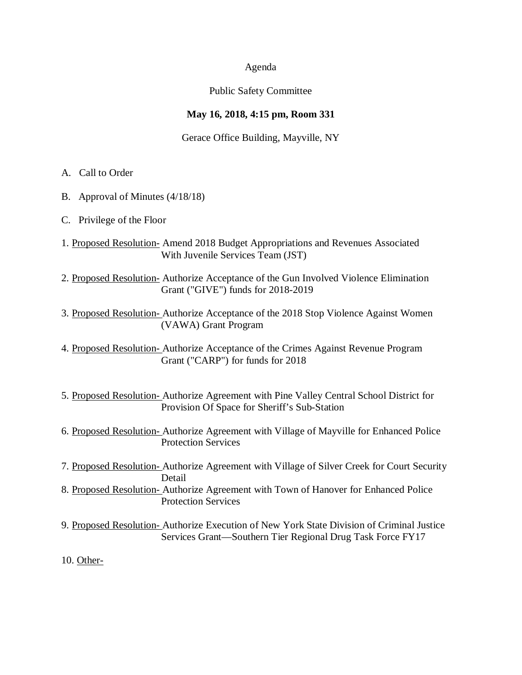#### Agenda

## Public Safety Committee

## **May 16, 2018, 4:15 pm, Room 331**

Gerace Office Building, Mayville, NY

- A. Call to Order
- B. Approval of Minutes (4/18/18)
- C. Privilege of the Floor
- 1. Proposed Resolution- Amend 2018 Budget Appropriations and Revenues Associated With Juvenile Services Team (JST)
- 2. Proposed Resolution- Authorize Acceptance of the Gun Involved Violence Elimination Grant ("GIVE") funds for 2018-2019
- 3. Proposed Resolution- Authorize Acceptance of the 2018 Stop Violence Against Women (VAWA) Grant Program
- 4. Proposed Resolution- Authorize Acceptance of the Crimes Against Revenue Program Grant ("CARP") for funds for 2018
- 5. Proposed Resolution- Authorize Agreement with Pine Valley Central School District for Provision Of Space for Sheriff's Sub-Station
- 6. Proposed Resolution- Authorize Agreement with Village of Mayville for Enhanced Police Protection Services
- 7. Proposed Resolution- Authorize Agreement with Village of Silver Creek for Court Security Detail
- 8. Proposed Resolution- Authorize Agreement with Town of Hanover for Enhanced Police Protection Services
- 9. Proposed Resolution- Authorize Execution of New York State Division of Criminal Justice Services Grant—Southern Tier Regional Drug Task Force FY17

10. Other-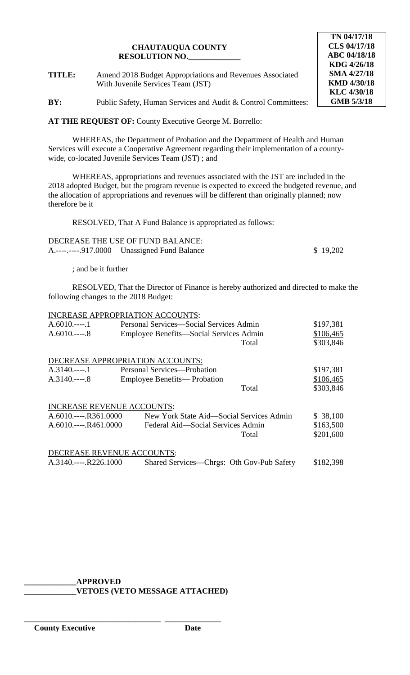**TITLE:** Amend 2018 Budget Appropriations and Revenues Associated With Juvenile Services Team (JST)

**BY:** Public Safety, Human Services and Audit & Control Committees:

**AT THE REQUEST OF:** County Executive George M. Borrello:

WHEREAS, the Department of Probation and the Department of Health and Human Services will execute a Cooperative Agreement regarding their implementation of a countywide, co-located Juvenile Services Team (JST) ; and

WHEREAS, appropriations and revenues associated with the JST are included in the 2018 adopted Budget, but the program revenue is expected to exceed the budgeted revenue, and the allocation of appropriations and revenues will be different than originally planned; now therefore be it

RESOLVED, That A Fund Balance is appropriated as follows:

| DECREASE THE USE OF FUND BALANCE: |          |
|-----------------------------------|----------|
|                                   | \$19,202 |

; and be it further

RESOLVED, That the Director of Finance is hereby authorized and directed to make the following changes to the 2018 Budget:

|                                   | <b>INCREASE APPROPRIATION ACCOUNTS:</b>   |           |
|-----------------------------------|-------------------------------------------|-----------|
| $A.6010$ 1                        | Personal Services-Social Services Admin   | \$197,381 |
| $A.6010$ 8                        | Employee Benefits—Social Services Admin   | \$106,465 |
|                                   | Total                                     | \$303,846 |
|                                   | DECREASE APPROPRIATION ACCOUNTS:          |           |
|                                   | Personal Services—Probation               | \$197,381 |
| $A.3140$ 8                        | Employee Benefits— Probation              | \$106,465 |
|                                   | Total                                     | \$303,846 |
| <b>INCREASE REVENUE ACCOUNTS:</b> |                                           |           |
| $A.6010$ R361.0000                | New York State Aid—Social Services Admin  | \$38,100  |
| $A.6010---R461.0000$              | Federal Aid—Social Services Admin         | \$163,500 |
|                                   | Total                                     | \$201,600 |
| DECREASE REVENUE ACCOUNTS:        |                                           |           |
| A.3140.----.R226.1000             | Shared Services—Chrgs: Oth Gov-Pub Safety | \$182,398 |

# **\_\_\_\_\_\_\_\_\_\_\_\_\_APPROVED**

\_\_\_\_\_\_\_\_\_\_\_\_\_\_\_\_\_\_\_\_\_\_\_\_\_\_\_\_\_\_\_\_\_\_ \_\_\_\_\_\_\_\_\_\_\_\_\_\_

**\_\_\_\_\_\_\_\_\_\_\_\_\_VETOES (VETO MESSAGE ATTACHED)**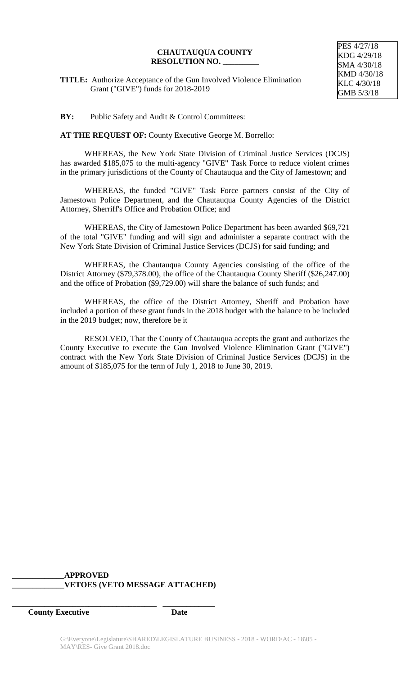PES 4/27/18 KDG 4/29/18 SMA 4/30/18 KMD 4/30/18 KLC 4/30/18 GMB 5/3/18

**TITLE:** Authorize Acceptance of the Gun Involved Violence Elimination Grant ("GIVE") funds for 2018-2019

**BY:** Public Safety and Audit & Control Committees:

**AT THE REQUEST OF:** County Executive George M. Borrello:

WHEREAS, the New York State Division of Criminal Justice Services (DCJS) has awarded \$185,075 to the multi-agency "GIVE" Task Force to reduce violent crimes in the primary jurisdictions of the County of Chautauqua and the City of Jamestown; and

WHEREAS, the funded "GIVE" Task Force partners consist of the City of Jamestown Police Department, and the Chautauqua County Agencies of the District Attorney, Sherriff's Office and Probation Office; and

WHEREAS, the City of Jamestown Police Department has been awarded \$69,721 of the total "GIVE" funding and will sign and administer a separate contract with the New York State Division of Criminal Justice Services (DCJS) for said funding; and

WHEREAS, the Chautauqua County Agencies consisting of the office of the District Attorney (\$79,378.00), the office of the Chautauqua County Sheriff (\$26,247.00) and the office of Probation (\$9,729.00) will share the balance of such funds; and

WHEREAS, the office of the District Attorney, Sheriff and Probation have included a portion of these grant funds in the 2018 budget with the balance to be included in the 2019 budget; now, therefore be it

RESOLVED, That the County of Chautauqua accepts the grant and authorizes the County Executive to execute the Gun Involved Violence Elimination Grant ("GIVE") contract with the New York State Division of Criminal Justice Services (DCJS) in the amount of \$185,075 for the term of July 1, 2018 to June 30, 2019.

## **\_\_\_\_\_\_\_\_\_\_\_\_\_APPROVED \_\_\_\_\_\_\_\_\_\_\_\_\_VETOES (VETO MESSAGE ATTACHED)**

**\_\_\_\_\_\_\_\_\_\_\_\_\_\_\_\_\_\_\_\_\_\_\_\_\_\_\_\_\_\_\_\_\_\_\_\_ \_\_\_\_\_\_\_\_\_\_\_\_\_**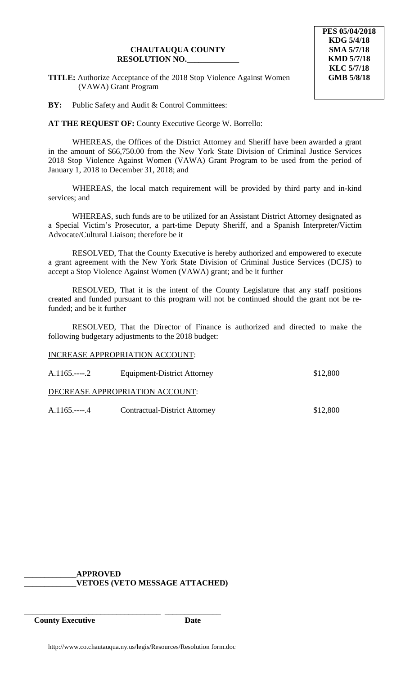**TITLE:** Authorize Acceptance of the 2018 Stop Violence Against Women (VAWA) Grant Program

**BY:** Public Safety and Audit & Control Committees:

**AT THE REQUEST OF:** County Executive George W. Borrello:

WHEREAS, the Offices of the District Attorney and Sheriff have been awarded a grant in the amount of \$66,750.00 from the New York State Division of Criminal Justice Services 2018 Stop Violence Against Women (VAWA) Grant Program to be used from the period of January 1, 2018 to December 31, 2018; and

WHEREAS, the local match requirement will be provided by third party and in-kind services; and

WHEREAS, such funds are to be utilized for an Assistant District Attorney designated as a Special Victim's Prosecutor, a part-time Deputy Sheriff, and a Spanish Interpreter/Victim Advocate/Cultural Liaison; therefore be it

RESOLVED, That the County Executive is hereby authorized and empowered to execute a grant agreement with the New York State Division of Criminal Justice Services (DCJS) to accept a Stop Violence Against Women (VAWA) grant; and be it further

RESOLVED, That it is the intent of the County Legislature that any staff positions created and funded pursuant to this program will not be continued should the grant not be refunded; and be it further

RESOLVED, That the Director of Finance is authorized and directed to make the following budgetary adjustments to the 2018 budget:

#### INCREASE APPROPRIATION ACCOUNT:

| $A.1165.---2$ | Equipment-District Attorney          | \$12,800 |
|---------------|--------------------------------------|----------|
|               | DECREASE APPROPRIATION ACCOUNT:      |          |
| $A.1165.---4$ | <b>Contractual-District Attorney</b> | \$12,800 |

#### **\_\_\_\_\_\_\_\_\_\_\_\_\_APPROVED \_\_\_\_\_\_\_\_\_\_\_\_\_VETOES (VETO MESSAGE ATTACHED)**

\_\_\_\_\_\_\_\_\_\_\_\_\_\_\_\_\_\_\_\_\_\_\_\_\_\_\_\_\_\_\_\_\_\_ \_\_\_\_\_\_\_\_\_\_\_\_\_\_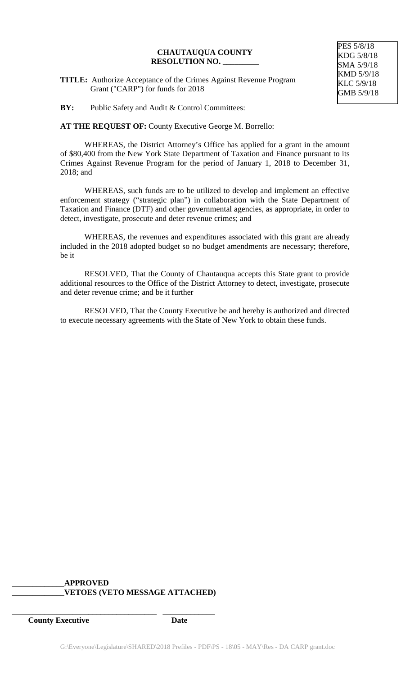**TITLE:** Authorize Acceptance of the Crimes Against Revenue Program Grant ("CARP") for funds for 2018

**BY:** Public Safety and Audit & Control Committees:

**AT THE REQUEST OF:** County Executive George M. Borrello:

WHEREAS, the District Attorney's Office has applied for a grant in the amount of \$80,400 from the New York State Department of Taxation and Finance pursuant to its Crimes Against Revenue Program for the period of January 1, 2018 to December 31, 2018; and

WHEREAS, such funds are to be utilized to develop and implement an effective enforcement strategy ("strategic plan") in collaboration with the State Department of Taxation and Finance (DTF) and other governmental agencies, as appropriate, in order to detect, investigate, prosecute and deter revenue crimes; and

WHEREAS, the revenues and expenditures associated with this grant are already included in the 2018 adopted budget so no budget amendments are necessary; therefore, be it

RESOLVED, That the County of Chautauqua accepts this State grant to provide additional resources to the Office of the District Attorney to detect, investigate, prosecute and deter revenue crime; and be it further

RESOLVED, That the County Executive be and hereby is authorized and directed to execute necessary agreements with the State of New York to obtain these funds.

## **\_\_\_\_\_\_\_\_\_\_\_\_\_APPROVED \_\_\_\_\_\_\_\_\_\_\_\_\_VETOES (VETO MESSAGE ATTACHED)**

**\_\_\_\_\_\_\_\_\_\_\_\_\_\_\_\_\_\_\_\_\_\_\_\_\_\_\_\_\_\_\_\_\_\_\_\_ \_\_\_\_\_\_\_\_\_\_\_\_\_**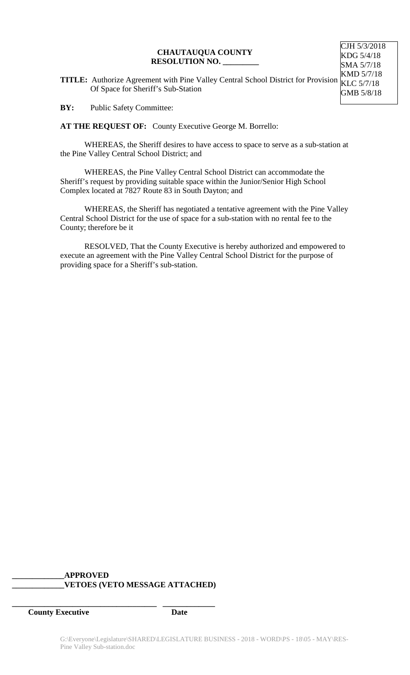CJH 5/3/2018 KDG 5/4/18 SMA 5/7/18

**TITLE:** Authorize Agreement with Pine Valley Central School District for Provision Of Space for Sheriff's Sub-Station KMD 5/7/18 KLC 5/7/18 GMB 5/8/18

**BY:** Public Safety Committee:

**AT THE REQUEST OF:** County Executive George M. Borrello:

WHEREAS, the Sheriff desires to have access to space to serve as a sub-station at the Pine Valley Central School District; and

WHEREAS, the Pine Valley Central School District can accommodate the Sheriff's request by providing suitable space within the Junior/Senior High School Complex located at 7827 Route 83 in South Dayton; and

WHEREAS, the Sheriff has negotiated a tentative agreement with the Pine Valley Central School District for the use of space for a sub-station with no rental fee to the County; therefore be it

RESOLVED, That the County Executive is hereby authorized and empowered to execute an agreement with the Pine Valley Central School District for the purpose of providing space for a Sheriff's sub-station.

## **\_\_\_\_\_\_\_\_\_\_\_\_\_APPROVED \_\_\_\_\_\_\_\_\_\_\_\_\_VETOES (VETO MESSAGE ATTACHED)**

**\_\_\_\_\_\_\_\_\_\_\_\_\_\_\_\_\_\_\_\_\_\_\_\_\_\_\_\_\_\_\_\_\_\_\_\_ \_\_\_\_\_\_\_\_\_\_\_\_\_**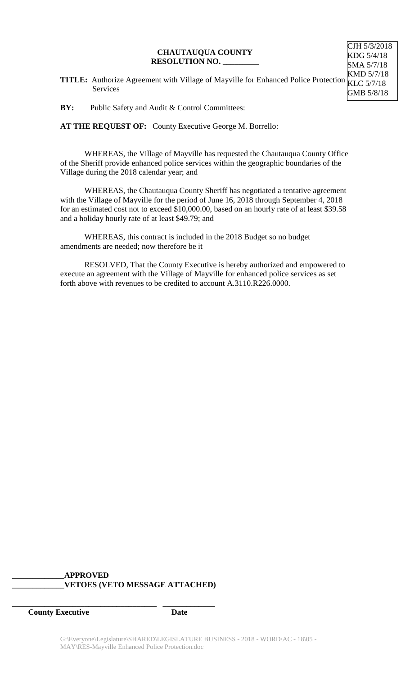**TITLE:** Authorize Agreement with Village of Mayville for Enhanced Police Protection Services KMD 5/7/18 KLC 5/7/18 GMB 5/8/18

CJH 5/3/2018 KDG 5/4/18 SMA 5/7/18

**BY:** Public Safety and Audit & Control Committees:

**AT THE REQUEST OF:** County Executive George M. Borrello:

WHEREAS, the Village of Mayville has requested the Chautauqua County Office of the Sheriff provide enhanced police services within the geographic boundaries of the Village during the 2018 calendar year; and

WHEREAS, the Chautauqua County Sheriff has negotiated a tentative agreement with the Village of Mayville for the period of June 16, 2018 through September 4, 2018 for an estimated cost not to exceed \$10,000.00, based on an hourly rate of at least \$39.58 and a holiday hourly rate of at least \$49.79; and

WHEREAS, this contract is included in the 2018 Budget so no budget amendments are needed; now therefore be it

RESOLVED, That the County Executive is hereby authorized and empowered to execute an agreement with the Village of Mayville for enhanced police services as set forth above with revenues to be credited to account A.3110.R226.0000.

## **\_\_\_\_\_\_\_\_\_\_\_\_\_APPROVED \_\_\_\_\_\_\_\_\_\_\_\_\_VETOES (VETO MESSAGE ATTACHED)**

**\_\_\_\_\_\_\_\_\_\_\_\_\_\_\_\_\_\_\_\_\_\_\_\_\_\_\_\_\_\_\_\_\_\_\_\_ \_\_\_\_\_\_\_\_\_\_\_\_\_**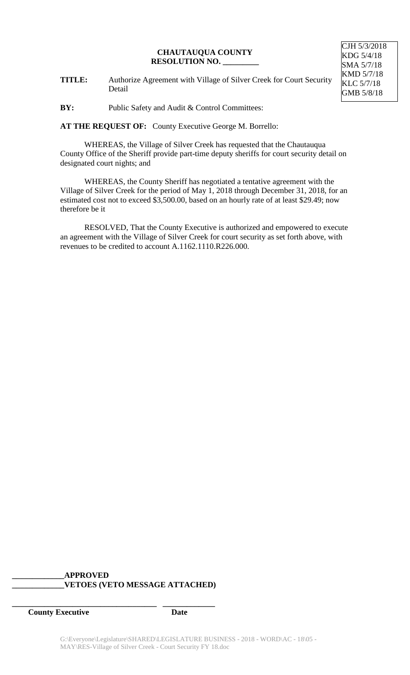CJH 5/3/2018 KDG 5/4/18 SMA 5/7/18 KMD 5/7/18 KLC 5/7/18 GMB 5/8/18

**TITLE:** Authorize Agreement with Village of Silver Creek for Court Security Detail

**BY:** Public Safety and Audit & Control Committees:

**AT THE REQUEST OF:** County Executive George M. Borrello:

WHEREAS, the Village of Silver Creek has requested that the Chautauqua County Office of the Sheriff provide part-time deputy sheriffs for court security detail on designated court nights; and

WHEREAS, the County Sheriff has negotiated a tentative agreement with the Village of Silver Creek for the period of May 1, 2018 through December 31, 2018, for an estimated cost not to exceed \$3,500.00, based on an hourly rate of at least \$29.49; now therefore be it

RESOLVED, That the County Executive is authorized and empowered to execute an agreement with the Village of Silver Creek for court security as set forth above, with revenues to be credited to account A.1162.1110.R226.000.

## **\_\_\_\_\_\_\_\_\_\_\_\_\_APPROVED \_\_\_\_\_\_\_\_\_\_\_\_\_VETOES (VETO MESSAGE ATTACHED)**

**\_\_\_\_\_\_\_\_\_\_\_\_\_\_\_\_\_\_\_\_\_\_\_\_\_\_\_\_\_\_\_\_\_\_\_\_ \_\_\_\_\_\_\_\_\_\_\_\_\_**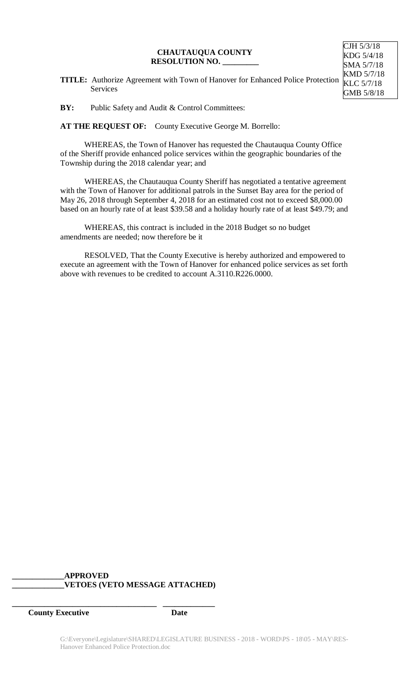CJH 5/3/18 KDG 5/4/18 SMA 5/7/18

**TITLE:** Authorize Agreement with Town of Hanover for Enhanced Police Protection Services KMD 5/7/18 KLC 5/7/18 GMB 5/8/18

**BY:** Public Safety and Audit & Control Committees:

**AT THE REQUEST OF:** County Executive George M. Borrello:

WHEREAS, the Town of Hanover has requested the Chautauqua County Office of the Sheriff provide enhanced police services within the geographic boundaries of the Township during the 2018 calendar year; and

WHEREAS, the Chautauqua County Sheriff has negotiated a tentative agreement with the Town of Hanover for additional patrols in the Sunset Bay area for the period of May 26, 2018 through September 4, 2018 for an estimated cost not to exceed \$8,000.00 based on an hourly rate of at least \$39.58 and a holiday hourly rate of at least \$49.79; and

WHEREAS, this contract is included in the 2018 Budget so no budget amendments are needed; now therefore be it

RESOLVED, That the County Executive is hereby authorized and empowered to execute an agreement with the Town of Hanover for enhanced police services as set forth above with revenues to be credited to account A.3110.R226.0000.

## **\_\_\_\_\_\_\_\_\_\_\_\_\_APPROVED \_\_\_\_\_\_\_\_\_\_\_\_\_VETOES (VETO MESSAGE ATTACHED)**

**\_\_\_\_\_\_\_\_\_\_\_\_\_\_\_\_\_\_\_\_\_\_\_\_\_\_\_\_\_\_\_\_\_\_\_\_ \_\_\_\_\_\_\_\_\_\_\_\_\_**